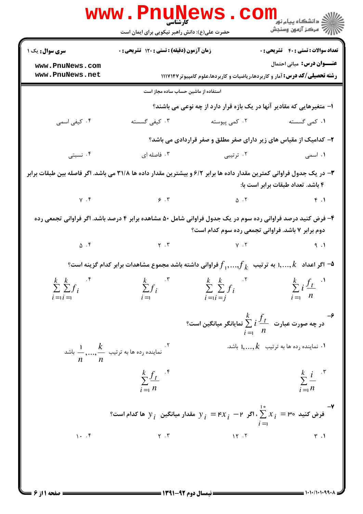|                                                                                                                                                                  | <b>www.PnuNews</b><br>حضرت علی(ع): دانش راهبر نیکویی برای ایمان است                                                                                                                                                                                                                                                                                                                                      |                                                                                                                                              | ر دانشگاه پيام نور ■<br>دانشگاه پيام نور<br> ∭ه مرکز آزمون وسنجش |  |  |  |
|------------------------------------------------------------------------------------------------------------------------------------------------------------------|----------------------------------------------------------------------------------------------------------------------------------------------------------------------------------------------------------------------------------------------------------------------------------------------------------------------------------------------------------------------------------------------------------|----------------------------------------------------------------------------------------------------------------------------------------------|------------------------------------------------------------------|--|--|--|
| <b>سری سوال :</b> یک ۱                                                                                                                                           | زمان آزمون (دقیقه) : تستی : ۱۲۰ تشریحی : ۰                                                                                                                                                                                                                                                                                                                                                               |                                                                                                                                              | <b>تعداد سوالات : تستي : 40 - تشريحي : 0</b>                     |  |  |  |
| www.PnuNews.com                                                                                                                                                  |                                                                                                                                                                                                                                                                                                                                                                                                          |                                                                                                                                              | <b>عنـــوان درس:</b> مبانی احتمال                                |  |  |  |
| www.PnuNews.net                                                                                                                                                  |                                                                                                                                                                                                                                                                                                                                                                                                          | <b>رشته تحصیلی/کد درس:</b> آمار و کاربردها،ریاضیات و کاربردها،علوم کامپیوتر ۱۱۱۷۱۴۷                                                          |                                                                  |  |  |  |
|                                                                                                                                                                  | استفاده از ماشین حساب ساده مجاز است                                                                                                                                                                                                                                                                                                                                                                      |                                                                                                                                              |                                                                  |  |  |  |
|                                                                                                                                                                  |                                                                                                                                                                                                                                                                                                                                                                                                          | ا- متغیرهایی که مقادیر آنها در یک بازه قرار دارد از چه نوعی می باشند؟                                                                        |                                                                  |  |  |  |
| ۰۴ کیفی اسمی                                                                                                                                                     | ۰۳ کیفی گسسته                                                                                                                                                                                                                                                                                                                                                                                            | ۰۲ کمی پیوسته                                                                                                                                | ۰۱ کمی گسسته                                                     |  |  |  |
|                                                                                                                                                                  |                                                                                                                                                                                                                                                                                                                                                                                                          | ۲- کدامیک از مقیاس های زیر دارای صفر مطلق و صفر قراردادی می باشد؟                                                                            |                                                                  |  |  |  |
| ۰۴ نسبتی                                                                                                                                                         | ۰۳ فاصله ای                                                                                                                                                                                                                                                                                                                                                                                              | ۰۲ ترتیبی                                                                                                                                    | <b>۱.</b> اسمی                                                   |  |  |  |
| ۳– در یک جدول فراوانی کمترین مقدار داده ها برابر ۶/۲ و بیشترین مقدار داده ها ۳۱/۸ می باشد. اگر فاصله بین طبقات برابر<br>۴ باشد. تعداد طبقات برابر است با:        |                                                                                                                                                                                                                                                                                                                                                                                                          |                                                                                                                                              |                                                                  |  |  |  |
|                                                                                                                                                                  | $Y \cdot Y$ $Y \cdot Y$ $Y \cdot Y$                                                                                                                                                                                                                                                                                                                                                                      |                                                                                                                                              | F.1                                                              |  |  |  |
| ۴- فرض کنید درصد فراوانی رده سوم در یک جدول فراوانی شامل ۵۰ مشاهده برابر ۴ درصد باشد. اگر فراوانی تجمعی رده<br>دوم برابر ۷ باشد. فراوانی تجمعی رده سوم کدام است؟ |                                                                                                                                                                                                                                                                                                                                                                                                          |                                                                                                                                              |                                                                  |  |  |  |
|                                                                                                                                                                  | $\Delta \cdot f$ (a) $\Delta \cdot f$ (b) $\Delta \cdot f$ (c) $\Delta \cdot f$ (c) $\Delta \cdot f$ (c) $\Delta \cdot f$ (c) $\Delta \cdot f$ (c) $\Delta \cdot f$ (c) $\Delta \cdot f$ (c) $\Delta \cdot f$ (c) $\Delta \cdot f$ (c) $\Delta \cdot f$ (c) $\Delta \cdot f$ (c) $\Delta \cdot f$ (c) $\Delta \cdot f$ (c) $\Delta \cdot f$ (c) $\Delta \cdot f$ (c) $\Delta \cdot f$ (c) $\Delta \cdot$ |                                                                                                                                              |                                                                  |  |  |  |
| وراوانی داشته باشد مجموع مشاهدات برابر کدام گزینه است؟ $f_{\,1},,f_{\,k}$ اگر اعداد $\,$ ۱, , $k\,$ به ترتیب $f_{\,k}$                                           |                                                                                                                                                                                                                                                                                                                                                                                                          |                                                                                                                                              |                                                                  |  |  |  |
| $k \quad k \quad \cdot \mathfrak{r}$<br>$\sum \sum f_i$<br>$i = i =$                                                                                             | $\sum f_i$<br>$i = 1$                                                                                                                                                                                                                                                                                                                                                                                    | $\sum_{i=1}^{k} f_i$ $\sum_{i=1}^{k} f_i$ $\sum_{i=1}^{k} f_i$ $\sum_{i=1}^{k} f_i$ $\sum_{i=1}^{k} f_i$ $\sum_{i=1}^{k} f_i$<br>$i = i = j$ | $\overline{i} = 1$ $\overline{n}$                                |  |  |  |
|                                                                                                                                                                  |                                                                                                                                                                                                                                                                                                                                                                                                          | -<br>در چه صورت عبارت $\frac{k}{\Delta}$ $i\frac{f_{t}}{\Delta}$ نمایانگر میانگین است؟<br>$i = 1$ $n$                                        |                                                                  |  |  |  |
|                                                                                                                                                                  | ۰۲ .<br>نماینده رده ها به ترتیب $\frac{1}{2},,\frac{1}{2}$ باشد                                                                                                                                                                                                                                                                                                                                          |                                                                                                                                              | ۰۱ نماینده رده ها به ترتیب $\,$ ۱٬…۰٫ $\,$ ۱ باشد.               |  |  |  |
|                                                                                                                                                                  | $\sum_{i=1}^{k} \frac{f_t}{f}$<br>$\overline{i}$ = $\overline{n}$                                                                                                                                                                                                                                                                                                                                        |                                                                                                                                              | $\sum_{i=1}^k \frac{i}{n}$                                       |  |  |  |
|                                                                                                                                                                  | -v فرض کنید $\mathbf{v}_{i}=\mathbf{v}_{i}$ ، اگر $\mathbf{v}_{i}=\mathbf{v}_{i}$ هقدار میانگین $\mathbf{y}_{i}$ ها کدام است $\sum_{i=1}^{n}x_{i}$                                                                                                                                                                                                                                                       | $i =$                                                                                                                                        |                                                                  |  |  |  |
| $1 - .9$                                                                                                                                                         | $\Upsilon$ . $\Upsilon$                                                                                                                                                                                                                                                                                                                                                                                  | 15.7                                                                                                                                         | $\mathbf{r}$ .1                                                  |  |  |  |
|                                                                                                                                                                  |                                                                                                                                                                                                                                                                                                                                                                                                          |                                                                                                                                              |                                                                  |  |  |  |

 $= 1.1.11.1.99$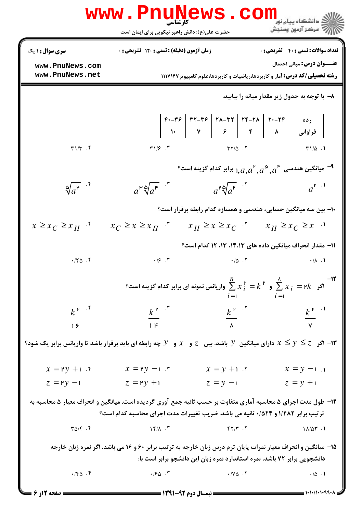|                                                                                                                                                                                                  | <b>WWW</b> .<br>حضرت علی(ع): دانش راهبر نیکویی برای ایمان است                                                                                                                         | کا، شناسی |             |                                                 | COIII                              |          | ه دانشگاه پيام نو <mark>ر</mark><br>رِ ۖ مرڪز آزمون وسنڊش                           |
|--------------------------------------------------------------------------------------------------------------------------------------------------------------------------------------------------|---------------------------------------------------------------------------------------------------------------------------------------------------------------------------------------|-----------|-------------|-------------------------------------------------|------------------------------------|----------|-------------------------------------------------------------------------------------|
| <b>سری سوال : ۱ یک</b>                                                                                                                                                                           | زمان آزمون (دقیقه) : تستی : 120 تشریحی : 0                                                                                                                                            |           |             |                                                 |                                    |          | <b>تعداد سوالات : تستی : 40 - تشریحی : 0</b>                                        |
| www.PnuNews.com                                                                                                                                                                                  |                                                                                                                                                                                       |           |             |                                                 |                                    |          | عنـــوان درس: مبانی احتمال                                                          |
| www.PnuNews.net                                                                                                                                                                                  |                                                                                                                                                                                       |           |             |                                                 |                                    |          | <b>رشته تحصیلی/کد درس:</b> آمار و کاربردها،ریاضیات و کاربردها،علوم کامپیوتر ۱۱۱۷۱۴۷ |
|                                                                                                                                                                                                  |                                                                                                                                                                                       |           |             |                                                 |                                    |          | ۸– با توجه به جدول زیر مقدار میانه را بیابید.                                       |
|                                                                                                                                                                                                  |                                                                                                                                                                                       | $F - T9$  | $rr - 59$   | $Y\Lambda - YY$                                 | $YF-Y\Lambda$                      | $Y - YF$ | ر ده                                                                                |
|                                                                                                                                                                                                  |                                                                                                                                                                                       |           | $\mathbf v$ | ۶                                               | ۴                                  | ۸        | فراواني                                                                             |
| $\uparrow\uparrow\uparrow\uparrow\uparrow$ .                                                                                                                                                     | $T1/5$ . $T$                                                                                                                                                                          |           |             | $\Upsilon\Upsilon/\Delta$ .                     |                                    |          | $T1/\Delta$ .                                                                       |
|                                                                                                                                                                                                  | ° میانگین هندسی $a^{\mathsf{F}}$ , $a^{\mathsf{a}}$ , $a^{\mathsf{r}}$ , برابر کدام گزینه است $\mathsf{I}$                                                                            |           |             |                                                 |                                    |          |                                                                                     |
| $\sqrt[\infty]{a^{\kappa}}$ f                                                                                                                                                                    | $a^{\mu} \sqrt[\infty]{a^{\mu}}$ . $\sqrt[n]{ }$                                                                                                                                      |           |             | $a^{\mu} \sqrt[\infty]{a^{\mu}}$ <sup>. Y</sup> |                                    |          | $a^{\mathfrak{p}}$ . <sup>1</sup>                                                   |
|                                                                                                                                                                                                  | ۱۰– بین سه میانگین حسابی، هندسی و همسازه کدام رابطه برقرار است؟                                                                                                                       |           |             |                                                 |                                    |          |                                                                                     |
| $\bar{x} \geq \bar{x}_C \geq \bar{x}_H$ .                                                                                                                                                        | $\overline{x}_C \geq \overline{x} \geq \overline{x}_H$ $\overline{y}_H \geq \overline{x} \geq \overline{x}_C$ $\overline{y}_H \geq \overline{x}_C \geq \overline{x}$ $\overline{y}_H$ |           |             |                                                 |                                    |          |                                                                                     |
|                                                                                                                                                                                                  |                                                                                                                                                                                       |           |             |                                                 |                                    |          | 11- مقدار انحراف میانگین داده های ۱۴،۱۳، ۱۳، ۱۲ کدام است؟                           |
| .70.9                                                                                                                                                                                            | .19.7                                                                                                                                                                                 |           |             |                                                 | $\cdot/\Delta$ . T                 |          | $\cdot/\lambda$ . 1                                                                 |
| ا اگر $\sum x_i = k^\mathsf{P}$ و $\sum x_i^\mathsf{P} = k^\mathsf{P}$ واریانس نمونه ای برابر کدام گزینه است؟<br>$i =$<br>$i =$                                                                  |                                                                                                                                                                                       |           |             |                                                 |                                    |          |                                                                                     |
| $k^{r}$ $\mathfrak{F}$                                                                                                                                                                           | $k^{\mathsf{P}}$ $\cdot^{\mathsf{r}}$                                                                                                                                                 |           |             |                                                 | $\frac{k^{\mathsf{P}}}{\lambda}$ . |          |                                                                                     |
| 19                                                                                                                                                                                               | $\mathsf{P}$                                                                                                                                                                          |           |             |                                                 |                                    |          |                                                                                     |
| اگر $z\le y\le z$ دارای میانگین $y$ باشد. بین $z$ و $x$ و $y$ چه رابطه ای باید برقرار باشد تا واریانس برابر یک شود؟ $\tau$                                                                       |                                                                                                                                                                                       |           |             |                                                 |                                    |          |                                                                                     |
| $x = Py + 1$ $x = Py - 1$ $x = Py - 1$                                                                                                                                                           |                                                                                                                                                                                       |           |             | $x = y + 1.7$                                   |                                    |          | $x = y - 1$ .                                                                       |
| $z = ry -1$                                                                                                                                                                                      | $z = Py + 1$                                                                                                                                                                          |           |             | $z = y -1$                                      |                                    |          | $z = y + i$                                                                         |
| ۱۴- طول مدت اجرای ۵ محاسبه آماری متفاوت بر حسب ثانیه جمع آوری گردیده است. میانگین و انحراف معیار ۵ محاسبه به<br>ترتیب برابر ۱/۴۸۲ و ۵۲۴/۰ ثانیه می باشد. ضریب تغییرات مدت اجرای محاسبه کدام است؟ |                                                                                                                                                                                       |           |             |                                                 |                                    |          |                                                                                     |
| $\Gamma \Delta / \Gamma$ .                                                                                                                                                                       | $\gamma$ $\gamma$ / $\gamma$                                                                                                                                                          |           |             | $Y - Y Y$                                       |                                    |          | $1\lambda/\Delta\Upsilon$ .                                                         |
|                                                                                                                                                                                                  | ۱۵- میانگین و انحراف معیار نمرات پایان ترم درس زبان خارجه به ترتیب برابر ۶۰ و ۱۶ می باشد. اگر نمره زبان خارجه                                                                         |           |             |                                                 |                                    |          | دانشجویی برابر ۷۲ باشد، نمره استاندارد نمره زبان این دانشجو برابر است با:           |
| $\cdot$ /۴۵. ۴                                                                                                                                                                                   | .780.7                                                                                                                                                                                |           |             | $\cdot$ / Y $\triangle$ $\cdot$ $\cdot$ Y       |                                    |          | $\cdot/\Delta$ .                                                                    |

 $Dm_1$ ,  $N_{ATM}$ 

' '

 $= 1.1 - 11.1 - 99.$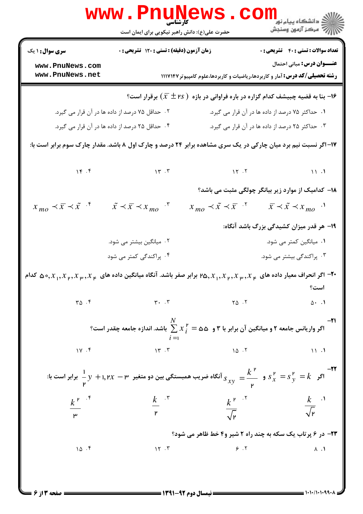|                                                | www.PnuNews<br>حضرت علی(ع): دانش راهبر نیکویی برای ایمان است |                                                | رانشگاه پیام نور<br>این مرکز آزمون وسنجش                                                                                                                                             |
|------------------------------------------------|--------------------------------------------------------------|------------------------------------------------|--------------------------------------------------------------------------------------------------------------------------------------------------------------------------------------|
| <b>سری سوال : ۱ یک</b>                         | زمان آزمون (دقیقه) : تستی : ۱۲۰ تشریحی : ۰                   |                                                | <b>تعداد سوالات : تستي : 40 - تشريحي : 0</b>                                                                                                                                         |
| www.PnuNews.com<br>www.PnuNews.net             |                                                              |                                                | <b>عنـــوان درس:</b> مبانی احتمال<br><b>رشته تحصیلی/کد درس:</b> آمار و کاربردها،ریاضیات و کاربردها،علوم کامپیوتر ۱۱۱۷۱۴۷                                                             |
|                                                |                                                              |                                                | ا- بنا به قضیه چبیشف کدام گزاره در باره فراوانی در بازه $(\bar{x} \pm$ ۳۶ ) برقرار است؟ $\cdot$                                                                                      |
|                                                | ۰۲ حداقل ۷۵ درصد از داده ها در آن قرار می گیرد.              |                                                | ۰۱ حداکثر ۷۵ درصد از داده ها در آن قرار می گیرد.                                                                                                                                     |
|                                                | ۰۴ حداقل ۲۵ درصد از داده ها در آن قرار می گیرد.              |                                                | ۰۳ حداکثر ۲۵ درصد از داده ها در آن قرار می گیرد.                                                                                                                                     |
|                                                |                                                              |                                                | ۱۷- اگر نسبت نیم برد میان چارکی در یک سری مشاهده برابر ۲۴ درصد و چارک اول ۸ باشد. مقدار چارک سوم برابر است با:                                                                       |
|                                                | 14.7                                                         | $15.7$ $11.1$                                  |                                                                                                                                                                                      |
|                                                |                                                              |                                                | <b>۱۸</b> – کدامیک از موارد زیر بیانگر چولگی مثبت می باشد؟                                                                                                                           |
| $x_{mo} \prec \overline{x} \prec \tilde{x}$ .* | $\tilde{x} \prec \overline{x} \prec x_{mo}$ *                | $x_{mo} \prec \tilde{x} \prec \overline{x}$ .  | $\bar{x} \prec \tilde{x} \prec x_{mo}$ .                                                                                                                                             |
|                                                |                                                              |                                                | ۱۹- هر قدر میزان کشیدگی بزرگ باشد آنگاه:                                                                                                                                             |
|                                                | ۰۲ میانگین بیشتر می شود.                                     |                                                | ۰۱ میانگین کمتر می شود.                                                                                                                                                              |
|                                                | ۰۴ پراکندگی کمتر می شود                                      |                                                | ۰۳ پراکندگی بیشتر می شود.                                                                                                                                                            |
|                                                |                                                              |                                                | اگر انحراف معیار داده های $x_{\mu},x_{\mu},x_{\mu},$ ۳۵٫ $x_{\mu},x_{\mu},x_{\mu},$ ۲۵٫ برابر صفر باشد. آنگاه میانگین داده های $x_{\mu},x_{\mu},x_{\mu},$ ۰۵٫ کدام $^{-1}$ ۰<br>است؟ |
| $\Gamma \Delta$ .                              | $\mathbf{r}$ . $\mathbf{r}$                                  | $\begin{bmatrix} 1 & 0 \\ 0 & 1 \end{bmatrix}$ | 0.1                                                                                                                                                                                  |
|                                                |                                                              |                                                | -۲۱<br>اگر واریانس جامعه ۲ و میانگین آن برابر با ۳ و $\alpha$ ۵ $\sum x_i^{\;\prime\;}$ باشد. اندازه جامعه چقدر است؟                                                                 |
| $1Y \cdot f$                                   | 15.7                                                         | $\sqrt{2}$                                     | $\mathcal{N}$ .                                                                                                                                                                      |
|                                                |                                                              |                                                | اگر $s_{x}^{P} = s_{y}^{P} = s_{y}^{P} = s_{y}^{P} = s_{y}^{P} = \frac{1}{\sqrt{2}}$ اگر $s_{x}^{P} = s_{y}^{P} = s_{y}^{P} = k$ برابر است با:                                       |
|                                                |                                                              |                                                |                                                                                                                                                                                      |
| $\frac{k^{\mathsf{P}}}{\mathsf{P}}$            | $\frac{k}{r}$ $\frac{r}{r}$                                  |                                                | $\frac{k^{\mathsf{P}}}{\sqrt{\mathsf{P}}}$ $\frac{k}{\sqrt{\mathsf{P}}}$ $\frac{1}{\sqrt{\mathsf{P}}}$                                                                               |
|                                                |                                                              |                                                | <b>۲۳- در ۶ پرتاب یک سکه به چند راه ۲ شیر و۴ خط ظاهر می شود؟</b>                                                                                                                     |
| 10.7                                           | 15.7                                                         | 9.7                                            | $\Lambda$ . $\Lambda$                                                                                                                                                                |
|                                                |                                                              |                                                |                                                                                                                                                                                      |

 $= 1.1.11.1.99.$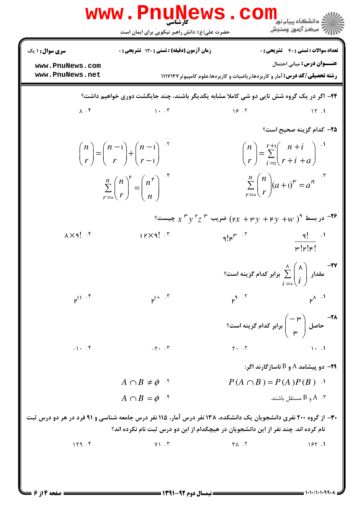|                                     | حضرت علی(ع): دانش راهبر نیکویی برای ایمان است                                                                                                                                                        |                                                                                                                                                                                                               | رِ ۖ مرڪز آزمون وسنڊش                                                                                                         |
|-------------------------------------|------------------------------------------------------------------------------------------------------------------------------------------------------------------------------------------------------|---------------------------------------------------------------------------------------------------------------------------------------------------------------------------------------------------------------|-------------------------------------------------------------------------------------------------------------------------------|
| <b>سری سوال : ۱ یک</b>              | زمان آزمون (دقیقه) : تستی : 120 تشریحی : 0                                                                                                                                                           |                                                                                                                                                                                                               | تعداد سوالات : تستي : 40 - تشريحي : 0                                                                                         |
| www.PnuNews.com<br>www.PnuNews.net  |                                                                                                                                                                                                      | <b>رشته تحصیلی/کد درس:</b> آمار و کاربردها،ریاضیات و کاربردها،علوم کامپیوتر ۱۱۱۷۱۴۷                                                                                                                           | <b>عنـــوان درس:</b> مبانی احتمال                                                                                             |
|                                     | ۲۴- اگر در یک گروه شش تایی دو شی کاملا مشابه یکدیگر باشند، چند جایگشت دوری خواهیم داشت؟                                                                                                              |                                                                                                                                                                                                               |                                                                                                                               |
| $\lambda$ . $\mathfrak{f}$          | $1 - .7$                                                                                                                                                                                             | 19.7                                                                                                                                                                                                          | 15.1                                                                                                                          |
|                                     |                                                                                                                                                                                                      |                                                                                                                                                                                                               | <b>۲۵– کدام گزینه صحیح است؟</b>                                                                                               |
|                                     | $\binom{n}{r} = \binom{n-1}{r} + \binom{n-1}{r-1}$                                                                                                                                                   |                                                                                                                                                                                                               | $\binom{n}{r} = \sum_{i=1}^{r+1} \binom{n+i}{r+i+a}$                                                                          |
|                                     | $\sum_{r=0}^{n} {n \choose r}^{r} = {n^{r} \choose n}$                                                                                                                                               |                                                                                                                                                                                                               | $\sum_{n=0}^{n} {n \choose r} (a+1)^{n} = a^{n}$                                                                              |
|                                     |                                                                                                                                                                                                      | °C در بسط $\int^{\mathsf{P}} x \cdot \int^{\mathsf{P}} y \cdot \int^{\mathsf{P}} z \cdot \int^{\mathsf{P}} (rx + \mathsf{P}y) + \mathsf{P}y + \mathsf{P}y) \cdot \int^{\mathsf{P}} z \cdot \int^{\mathsf{P}}$ |                                                                                                                               |
| $\lambda \times 9!$ $\cdot$ $\zeta$ | $11$ $\times$ 9! $\cdot$                                                                                                                                                                             | $q! \kappa^{\mu}$ . $\gamma$                                                                                                                                                                                  | $\overline{q}$ $\overline{q}$ $\overline{q}$<br>$\mu$ ! $\mu$ ! $\mu$ !                                                       |
|                                     |                                                                                                                                                                                                      |                                                                                                                                                                                                               | - <b>۷۷</b><br>مقدار $\sum_{i=-\infty}^{\Lambda} \left(\begin{matrix} \lambda \\ i \end{matrix}\right)$ برابر کدام گزینه است؟ |
| $\mu^{11}$ . f                      | $r^{10.7}$                                                                                                                                                                                           | $\mu^{q}$ . T                                                                                                                                                                                                 | $\mu^{\Lambda}$ .                                                                                                             |
|                                     |                                                                                                                                                                                                      |                                                                                                                                                                                                               | - ماس ( $-$ ۳ ) جاصل $\begin{pmatrix} -$ برابر کدام گزینه است $\text{ }^{\circ}$                                              |
| $-1$ . $\uparrow$                   | $-\tau$ . $\tau$                                                                                                                                                                                     | $Y \cdot \cdot Y$                                                                                                                                                                                             | $\mathcal{N}$ .                                                                                                               |
|                                     |                                                                                                                                                                                                      |                                                                                                                                                                                                               | - دو پیشامد A و B ناسازگارند اگر $\bullet$                                                                                    |
| $A \cap B \neq \phi$ '              |                                                                                                                                                                                                      |                                                                                                                                                                                                               | $P(A \cap B) = P(A)P(B)$ .                                                                                                    |
|                                     | $A \cap B = \phi$ f                                                                                                                                                                                  |                                                                                                                                                                                                               | و B مستقل باشند. $\mathsf{A}$                                                                                                 |
|                                     | ۳۰- از گروه ۲۰۰ نفری دانشجویان یک دانشکده، ۱۳۸ نفر درس آمار، ۱۱۵ نفر درس جامعه شناسی و ۹۱ فرد در هر دو درس ثبت<br>نام کرده اند. چند نفر از این دانشجویان در هیچکدام از ابن دو درس ثبت نام نکرده اند؟ |                                                                                                                                                                                                               |                                                                                                                               |
| 119.5                               | $Y \setminus \cdot Y$                                                                                                                                                                                | $Y \wedge \cdot Y$                                                                                                                                                                                            | 157.1                                                                                                                         |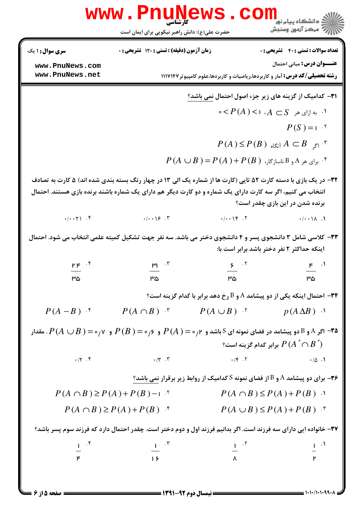| <b>www.PnuNews</b>                                                                                                                                                                                                           |                                                                                                                                                                                                                                                                                                                |                                                          |                                                                                                                          |  |  |
|------------------------------------------------------------------------------------------------------------------------------------------------------------------------------------------------------------------------------|----------------------------------------------------------------------------------------------------------------------------------------------------------------------------------------------------------------------------------------------------------------------------------------------------------------|----------------------------------------------------------|--------------------------------------------------------------------------------------------------------------------------|--|--|
|                                                                                                                                                                                                                              | حضرت علی(ع): دانش راهبر نیکویی برای ایمان است                                                                                                                                                                                                                                                                  |                                                          | ري دانشڪاه پيام نور<br>اڳ مرڪز آزمون وسنجش                                                                               |  |  |
| <b>سری سوال : ۱ یک</b>                                                                                                                                                                                                       | زمان آزمون (دقیقه) : تستی : ۱۲۰ تشریحی : ۰                                                                                                                                                                                                                                                                     |                                                          | <b>تعداد سوالات : تستی : 40 ٪ تشریحی : 0</b>                                                                             |  |  |
| www.PnuNews.com<br>www.PnuNews.net                                                                                                                                                                                           |                                                                                                                                                                                                                                                                                                                |                                                          | <b>عنـــوان درس:</b> مبانی احتمال<br><b>رشته تحصیلی/کد درس:</b> آمار و کاربردها،ریاضیات و کاربردها،علوم کامپیوتر ۱۱۱۷۱۴۷ |  |  |
|                                                                                                                                                                                                                              |                                                                                                                                                                                                                                                                                                                |                                                          | <b>۳۱</b> - کدامیک از گزینه های زیر جزء اصول احتمال <u>نمی</u> باشد؟                                                     |  |  |
|                                                                                                                                                                                                                              |                                                                                                                                                                                                                                                                                                                |                                                          | $\circ$ - $\circ$ / $P(A)$ / $\circ$ / $A \subset S$ ، $\circ$ / $\circ$ / $\circ$ / $\circ$                             |  |  |
|                                                                                                                                                                                                                              |                                                                                                                                                                                                                                                                                                                |                                                          | $P(S) = 1$ .                                                                                                             |  |  |
|                                                                                                                                                                                                                              |                                                                                                                                                                                                                                                                                                                |                                                          | $P(A) \leq P(B)$ آنگاه $A \subset B$                                                                                     |  |  |
|                                                                                                                                                                                                                              |                                                                                                                                                                                                                                                                                                                | $P(A \cup B) = P(A) + P(B)$ برای هر A و B ناسازگار، $^4$ |                                                                                                                          |  |  |
| ۳۲- در یک بازی با دسته کارت ۵۲ تایی (کارت ها از شماره یک الی ۱۳ در چهار رنگ بسته بندی شده اند) ۵ کارت به تصادف<br>انتخاب می کنیم، اگر سه کارت دارای یک شماره و دو کارت دیگر هم دارای یک شماره باشند برنده بازی هستند. احتمال |                                                                                                                                                                                                                                                                                                                |                                                          | برنده شدن در این بازی چقدر است؟                                                                                          |  |  |
|                                                                                                                                                                                                                              | $\cdot/\cdot\cdot\cdot$ $\uparrow$ $\cdot/\cdot\cdot\cdot$ $\uparrow$ $\cdot/\cdot\cdot\cdot$ $\uparrow$                                                                                                                                                                                                       | $.7 - 19$                                                | $\cdot/\cdot\cdot\wedge$ .                                                                                               |  |  |
| ۳۳- کلاسی شامل ۳ دانشجوی پسر و ۴ دانشجوی دختر می باشد. سه نفر جهت تشکیل کمیته علمی انتخاب می شود. احتمال                                                                                                                     |                                                                                                                                                                                                                                                                                                                |                                                          | اینکه حداکثر ۲ نفر دختر باشد برابر است با:                                                                               |  |  |
| $P P^{\alpha}$                                                                                                                                                                                                               | $\mu_1$ . $\zeta$                                                                                                                                                                                                                                                                                              |                                                          | $\zeta$ , $\zeta$ , $\zeta$ , $\zeta$ , $\zeta$ , $\zeta$ , $\zeta$                                                      |  |  |
| ۳۵                                                                                                                                                                                                                           | ాది                                                                                                                                                                                                                                                                                                            | ۳۵ - ۳۵                                                  | ాజు                                                                                                                      |  |  |
|                                                                                                                                                                                                                              |                                                                                                                                                                                                                                                                                                                |                                                          | ۳۴- احتمال اینکه یکی از دو پیشامد A و B رخ دهد برابر با کدام گزینه است؟                                                  |  |  |
| $P(A - B)$ f                                                                                                                                                                                                                 | $P(A \cap B)$ $\cdot$ $P(A \cup B)$ $\cdot$ $p(A \Delta B)$ $\cdot$                                                                                                                                                                                                                                            |                                                          |                                                                                                                          |  |  |
| ه۳- اگر A و B دو پیشامد در فضای نمونه ای S باشد و $\rho(A)=\rho(A)=P(A)\rho$ و $\rho(\rho\circ P(A\cup B)=P(A)$ . مقدار $\Gamma$                                                                                             |                                                                                                                                                                                                                                                                                                                |                                                          | برابر كدام گزينه است؟ $P\left(A\,\hat{\,\,\,} \cap B\,\,\hat{\,\,}\,\right)$                                             |  |  |
|                                                                                                                                                                                                                              | $\cdot$ $/$ $\uparrow$ $\cdot$ $/$ $\uparrow$ $\cdot$ $\uparrow$ $\cdot$ $\uparrow$ $\cdot$ $\uparrow$ $\cdot$ $\uparrow$ $\cdot$ $\uparrow$ $\cdot$ $\uparrow$ $\cdot$ $\uparrow$                                                                                                                             |                                                          | $\cdot/\Delta$ .                                                                                                         |  |  |
|                                                                                                                                                                                                                              |                                                                                                                                                                                                                                                                                                                |                                                          | ۴۶- برای دو پیشامد A و B از فضای نمونه S کدامیک از روابط زیر برقرار نمی باشد؟                                            |  |  |
| $P(A \cap B) \ge P(A) + P(B) - 1$                                                                                                                                                                                            |                                                                                                                                                                                                                                                                                                                | $P(A \cap B) \leq P(A) + P(B)$ .                         |                                                                                                                          |  |  |
| $P(A \cap B) \ge P(A) + P(B)$ f                                                                                                                                                                                              |                                                                                                                                                                                                                                                                                                                |                                                          | $P(A \cup B) \leq P(A) + P(B)$ .                                                                                         |  |  |
|                                                                                                                                                                                                                              |                                                                                                                                                                                                                                                                                                                |                                                          | ۳۷- خانواده ایی دارای سه فرزند است. اگر بدانیم فرزند اول و دوم دختر است. چقدر احتمال دارد که فرزند سوم پسر باشد؟         |  |  |
|                                                                                                                                                                                                                              |                                                                                                                                                                                                                                                                                                                |                                                          |                                                                                                                          |  |  |
|                                                                                                                                                                                                                              | $\frac{1}{p}$ $\frac{1}{15}$ $\frac{1}{15}$ $\frac{1}{15}$ $\frac{1}{15}$ $\frac{1}{15}$ $\frac{1}{15}$ $\frac{1}{15}$ $\frac{1}{15}$ $\frac{1}{15}$ $\frac{1}{15}$ $\frac{1}{15}$ $\frac{1}{15}$ $\frac{1}{15}$ $\frac{1}{15}$ $\frac{1}{15}$ $\frac{1}{15}$ $\frac{1}{15}$ $\frac{1}{15}$ $\frac{1}{15}$ $\$ |                                                          |                                                                                                                          |  |  |
|                                                                                                                                                                                                                              |                                                                                                                                                                                                                                                                                                                |                                                          |                                                                                                                          |  |  |

.<br>: ۱ یک

 $= 1.1.111199.1$